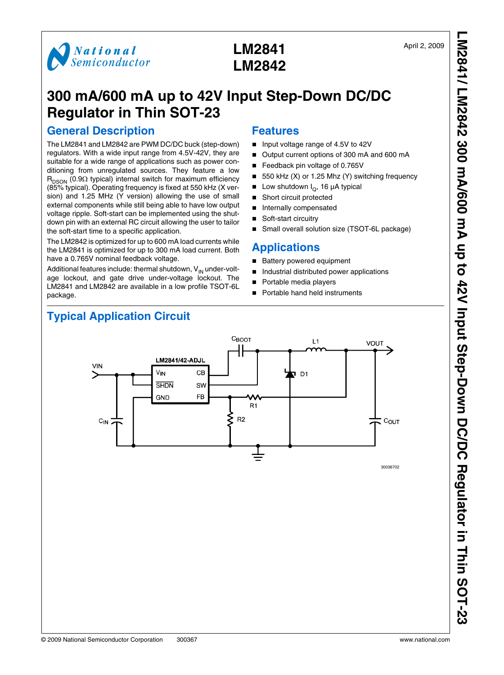

# **LM2841 LM2842**

## **300 mA/600 mA up to 42V Input Step-Down DC/DC Regulator in Thin SOT-23**

### **General Description**

The LM2841 and LM2842 are PWM DC/DC buck (step-down) regulators. With a wide input range from 4.5V-42V, they are suitable for a wide range of applications such as power conditioning from unregulated sources. They feature a low  $R_{DSON}$  (0.9 $\Omega$  typical) internal switch for maximum efficiency (85% typical). Operating frequency is fixed at 550 kHz (X version) and 1.25 MHz (Y version) allowing the use of small external components while still being able to have low output voltage ripple. Soft-start can be implemented using the shutdown pin with an external RC circuit allowing the user to tailor the soft-start time to a specific application.

The LM2842 is optimized for up to 600 mA load currents while the LM2841 is optimized for up to 300 mA load current. Both have a 0.765V nominal feedback voltage.

Additional features include: thermal shutdown,  $V_{IN}$  under-voltage lockout, and gate drive under-voltage lockout. The LM2841 and LM2842 are available in a low profile TSOT-6L package.

### **Features**

- Input voltage range of 4.5V to 42V
- Output current options of 300 mA and 600 mA
- Feedback pin voltage of 0.765V
- 550 kHz (X) or 1.25 Mhz (Y) switching frequency
- Low shutdown  $I_Q$ , 16 µA typical
- Short circuit protected
- Internally compensated
- Soft-start circuitry
- Small overall solution size (TSOT-6L package)

### **Applications**

- Battery powered equipment
- Industrial distributed power applications
- Portable media players
- Portable hand held instruments



## **Typical Application Circuit**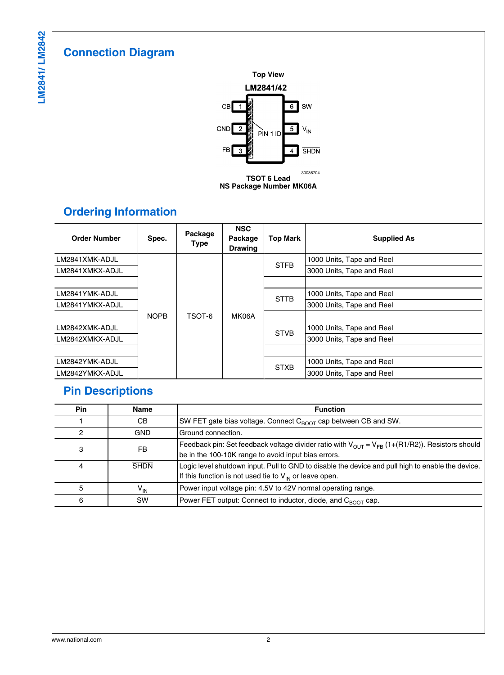## **Connection Diagram**



**NS Package Number MK06A**

## **Ordering Information**

| <b>Order Number</b> | Spec.       | Package<br><b>Type</b> | <b>NSC</b><br>Package<br><b>Drawing</b> | <b>Top Mark</b> | <b>Supplied As</b>        |
|---------------------|-------------|------------------------|-----------------------------------------|-----------------|---------------------------|
| LM2841XMK-ADJL      |             |                        |                                         | <b>STFB</b>     | 1000 Units, Tape and Reel |
| LM2841XMKX-ADJL     |             |                        |                                         |                 | 3000 Units, Tape and Reel |
|                     |             |                        |                                         |                 |                           |
| LM2841YMK-ADJL      |             |                        |                                         | <b>STTB</b>     | 1000 Units, Tape and Reel |
| LM2841YMKX-ADJL     |             |                        |                                         |                 | 3000 Units, Tape and Reel |
|                     | <b>NOPB</b> | TSOT-6                 | MK06A                                   |                 |                           |
| LM2842XMK-ADJL      |             |                        |                                         | <b>STVB</b>     | 1000 Units, Tape and Reel |
| LM2842XMKX-ADJL     |             |                        |                                         |                 | 3000 Units, Tape and Reel |
|                     |             |                        |                                         |                 |                           |
| LM2842YMK-ADJL      |             |                        |                                         | <b>STXB</b>     | 1000 Units, Tape and Reel |
| LM2842YMKX-ADJL     |             |                        |                                         |                 | 3000 Units, Tape and Reel |

## **Pin Descriptions**

| Pin | Name            | <b>Function</b>                                                                                                                                                         |
|-----|-----------------|-------------------------------------------------------------------------------------------------------------------------------------------------------------------------|
|     | CB.             | SW FET gate bias voltage. Connect $C_{\text{ROT}}$ cap between CB and SW.                                                                                               |
| 2   | <b>GND</b>      | Ground connection.                                                                                                                                                      |
| 3   | FB              | Feedback pin: Set feedback voltage divider ratio with $V_{OUT}$ = $V_{FB}$ (1+(R1/R2)). Resistors should<br>be in the 100-10K range to avoid input bias errors.         |
| 4   | <b>SHDN</b>     | Logic level shutdown input. Pull to GND to disable the device and pull high to enable the device.<br>If this function is not used tie to $V_{\text{IN}}$ or leave open. |
| 5   | V <sub>IN</sub> | Power input voltage pin: 4.5V to 42V normal operating range.                                                                                                            |
| 6   | <b>SW</b>       | Power FET output: Connect to inductor, diode, and $C_{\text{ROT}}$ cap.                                                                                                 |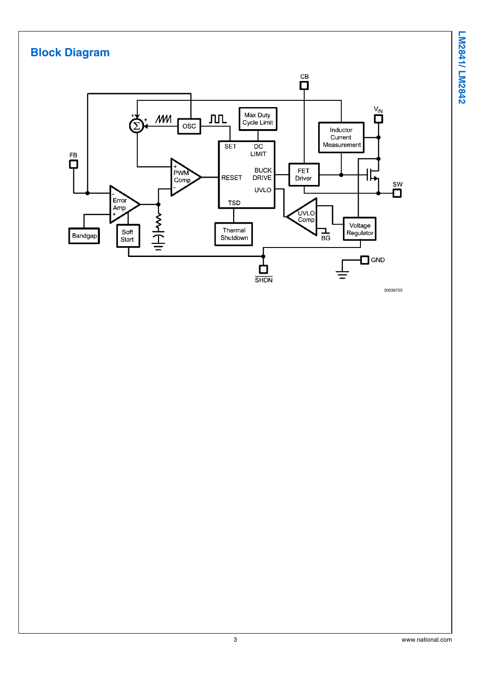

#### **Block Diagram**  $\overset{\text{CB}}{\mathsf{D}}$ V<sub>IN</sub> Max Duty<br>Cycle Limit  $AM$ **JUL** osc Inductor Current DC<br>LIMIT Measurement **SET**  $\overline{\mathbf{D}}$ BUCK<br>DRIVE FET<br>Driver PWM<br>Comp **RESET** 1L SW **UVLO** Ô  $E_{\text{ITOT}}$ **TSD** Amp UVLO<br>Comp A<br>H<br>H<br>A Voltage<br>Regulator Thermal Soft<br>Start ᠼ Bandgap Shutdown  $\Box$  GND 白 **SHDN** 30036703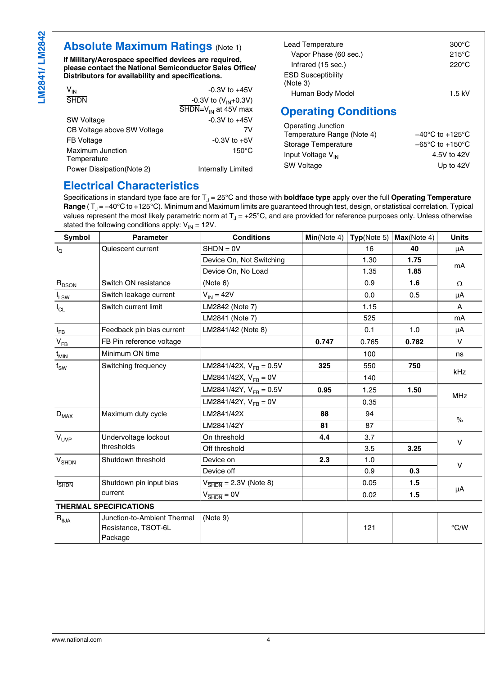### **Absolute Maximum Ratings (Note [1](#page-4-0))**

**If Military/Aerospace specified devices are required, please contact the National Semiconductor Sales Office/ Distributors for availability and specifications.**

| V <sub>IN</sub>             | $-0.3V$ to $+45V$                                   |
|-----------------------------|-----------------------------------------------------|
| <b>SHDN</b>                 | -0.3V to $(V_{IN}+0.3V)$                            |
|                             | $\overline{\text{SHDN}} = V_{\text{IN}}$ at 45V max |
| <b>SW Voltage</b>           | $-0.3V$ to $+45V$                                   |
| CB Voltage above SW Voltage | 7V                                                  |
| FB Voltage                  | $-0.3V$ to $+5V$                                    |
| <b>Maximum Junction</b>     | $150^{\circ}$ C                                     |
| Temperature                 |                                                     |
| Power Dissipation (Note 2)  | <b>Internally Limited</b>                           |
|                             |                                                     |

| Lead Temperature          | $300^{\circ}$ C |
|---------------------------|-----------------|
| Vapor Phase (60 sec.)     | $215^{\circ}$ C |
| Infrared (15 sec.)        | $220^{\circ}$ C |
| <b>ESD Susceptibility</b> |                 |
| (Note 3)                  |                 |
| Human Body Model          | 1.5 kV          |

### **Operating Conditions**

| Operating Junction            |                                     |
|-------------------------------|-------------------------------------|
| Temperature Range (Note 4)    | $-40^{\circ}$ C to $+125^{\circ}$ C |
| Storage Temperature           | $-65^{\circ}$ C to $+150^{\circ}$ C |
| Input Voltage V <sub>IN</sub> | 4.5V to 42V                         |
| <b>SW Voltage</b>             | Up to 42V                           |

### **Electrical Characteristics**

Specifications in standard type face are for T<sub>J</sub> = 25°C and those with **boldface type** apply over the full **Operating Temperature Range** (T<sub>J</sub> = −40°C to +125°C). Minimum and Maximum limits are guaranteed through test, design, or statistical correlation. Typical values represent the most likely parametric norm at T $_{\rm J}$  = +25°C, and are provided for reference purposes only. Unless otherwise stated the following conditions apply:  $V_{IN} = 12V$ .

| Symbol                           | <b>Parameter</b>                                              | <b>Conditions</b>                            | Min(Note 4) | Typ(Note 5) | Max(Note 4) | <b>Units</b>  |  |
|----------------------------------|---------------------------------------------------------------|----------------------------------------------|-------------|-------------|-------------|---------------|--|
| $I_{\mathsf{Q}}$                 | Quiescent current                                             | $\overline{\text{SHDN}} = \text{OV}$         |             | 16          | 40          | μA            |  |
|                                  |                                                               | Device On, Not Switching                     |             | 1.30        | 1.75        | mA            |  |
|                                  |                                                               | Device On, No Load                           |             | 1.35        | 1.85        |               |  |
| $R_{DSON}$                       | Switch ON resistance                                          | (Note 6)                                     |             | 0.9         | 1.6         | $\Omega$      |  |
| $I_{LSW}$                        | Switch leakage current                                        | $V_{IN} = 42V$                               |             | 0.0         | 0.5         | μA            |  |
| $I_{CL}$                         | Switch current limit                                          | LM2842 (Note 7)                              |             | 1.15        |             | Α             |  |
|                                  |                                                               | LM2841 (Note 7)                              |             | 525         |             | mA            |  |
| $I_{FB}$                         | Feedback pin bias current                                     | LM2841/42 (Note 8)                           |             | 0.1         | 1.0         | μA            |  |
| $\mathsf{V}_{\mathsf{FB}}$       | FB Pin reference voltage                                      |                                              | 0.747       | 0.765       | 0.782       | $\vee$        |  |
| $t_{MIN}$                        | Minimum ON time                                               |                                              |             | 100         |             | ns            |  |
| $f_{SW}$                         | Switching frequency                                           | LM2841/42X, $V_{FB} = 0.5V$                  | 325         | 550         | 750         | kHz           |  |
|                                  |                                                               | LM2841/42X, $V_{FB} = 0V$                    |             | 140         |             |               |  |
|                                  |                                                               | LM2841/42Y, $V_{FB} = 0.5V$                  | 0.95        | 1.25        | 1.50        | <b>MHz</b>    |  |
|                                  |                                                               | LM2841/42Y, $V_{FB} = 0V$                    |             | 0.35        |             |               |  |
| $D_{MAX}$                        | Maximum duty cycle                                            | LM2841/42X                                   | 88          | 94          |             | $\frac{1}{6}$ |  |
|                                  |                                                               | LM2841/42Y                                   | 81          | 87          |             |               |  |
| $V_{UVP}$                        | Undervoltage lockout                                          | On threshold                                 | 4.4         | 3.7         |             | $\vee$        |  |
|                                  | thresholds                                                    | Off threshold                                |             | 3.5         | 3.25        |               |  |
| $V_{\overline{\text{SHDN}}}$     | Shutdown threshold                                            | Device on                                    | 2.3         | 1.0         |             | $\vee$        |  |
|                                  |                                                               | Device off                                   |             | 0.9         | 0.3         |               |  |
| <b>SHDN</b>                      | Shutdown pin input bias                                       | $V_{\overline{\text{SHDN}}}$ = 2.3V (Note 8) |             | 0.05        | 1.5         | μA            |  |
|                                  | current                                                       | $V_{\overline{\text{SHDN}}} = 0V$            |             | 0.02        | 1.5         |               |  |
| <b>THERMAL SPECIFICATIONS</b>    |                                                               |                                              |             |             |             |               |  |
| $\mathsf{R}_{\theta\mathsf{JA}}$ | Junction-to-Ambient Thermal<br>Resistance, TSOT-6L<br>Package | (Note 9)                                     |             | 121         |             | $\degree$ C/W |  |
|                                  |                                                               |                                              |             |             |             |               |  |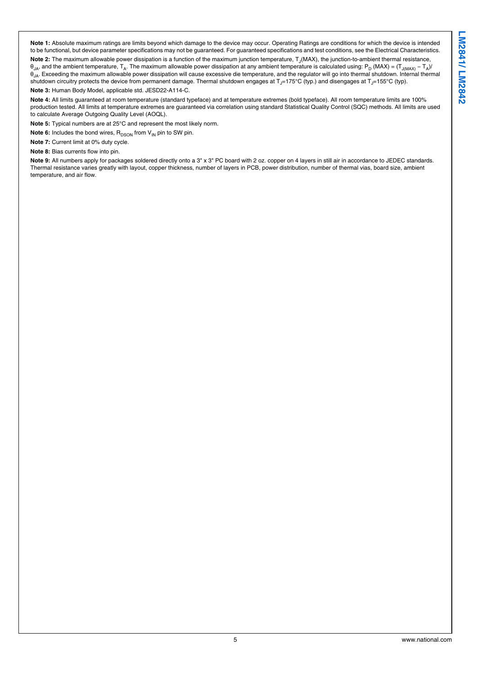<span id="page-4-0"></span>**Note 1:** Absolute maximum ratings are limits beyond which damage to the device may occur. Operating Ratings are conditions for which the device is intended to be functional, but device parameter specifications may not be guaranteed. For guaranteed specifications and test conditions, see the Electrical Characteristics.

Note 2: The maximum allowable power dissipation is a function of the maximum junction temperature, T<sub>J</sub>(MAX), the junction-to-ambient thermal resistance,  $\theta_{\sf JA}$ , and the ambient temperature,  ${\sf T_A}.$  The maximum allowable power dissipation at any ambient temperature is calculated using:  ${\sf P_D}$  (MAX) = ( ${\sf T_{J(MAX)}}$  –  ${\sf T_A}}$ )  $θ<sub>IA</sub>$ . Exceeding the maximum allowable power dissipation will cause excessive die temperature, and the regulator will go into thermal shutdown. Internal thermal shutdown circuitry protects the device from permanent damage. Thermal shutdown engages at  $T = 175^{\circ}C$  (typ) and disengages at  $T = 175^{\circ}C$  (typ).

**Note 3:** Human Body Model, applicable std. JESD22-A114-C.

**Note 4:** All limits guaranteed at room temperature (standard typeface) and at temperature extremes (bold typeface). All room temperature limits are 100% production tested. All limits at temperature extremes are guaranteed via correlation using standard Statistical Quality Control (SQC) methods. All limits are used to calculate Average Outgoing Quality Level (AOQL).

**Note 5:** Typical numbers are at 25°C and represent the most likely norm.

**Note 6:** Includes the bond wires, R<sub>DSON</sub> from V<sub>IN</sub> pin to SW pin.

**Note 7:** Current limit at 0% duty cycle.

**Note 8:** Bias currents flow into pin.

Note 9: All numbers apply for packages soldered directly onto a 3" x 3" PC board with 2 oz. copper on 4 layers in still air in accordance to JEDEC standards. Thermal resistance varies greatly with layout, copper thickness, number of layers in PCB, power distribution, number of thermal vias, board size, ambient temperature, and air flow.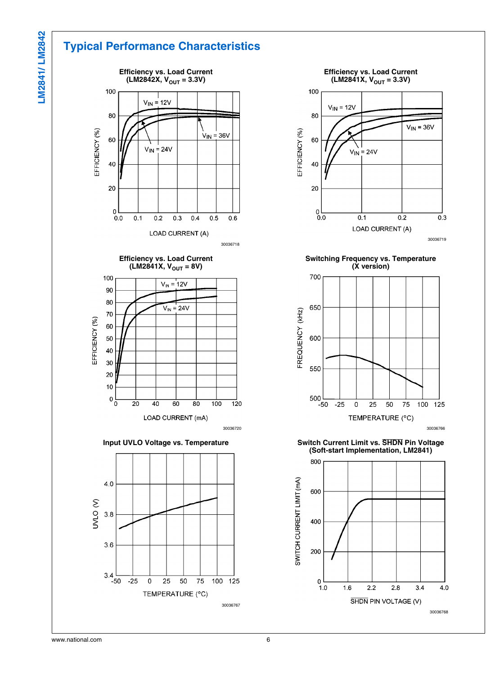## **Typical Performance Characteristics**





**Input UVLO Voltage vs. Temperature**





**Switching Frequency vs. Temperature (X version)**



**Switch Current Limit vs. SHDN Pin Voltage (Soft-start Implementation, LM2841)**

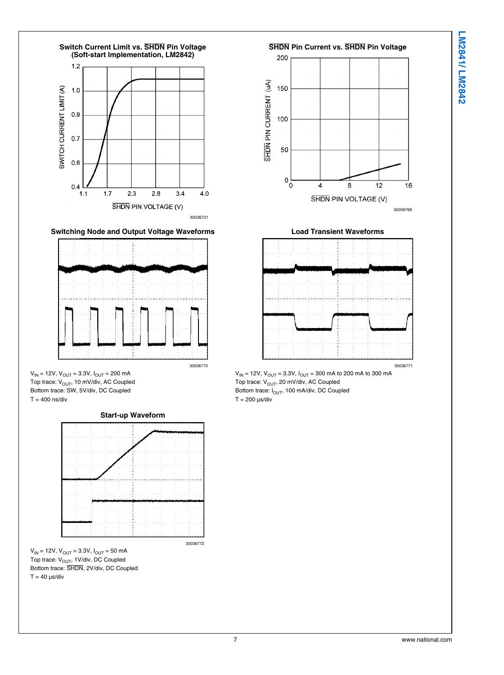



**Switching Node and Output Voltage Waveforms**



 $V_{IN}$  = 12V,  $V_{OUT}$  = 3.3V,  $I_{OUT}$  = 200 mA Top trace: V<sub>OUT</sub>, 10 mV/div, AC Coupled Bottom trace: SW, 5V/div, DC Coupled  $T = 400$  ns/div



 $V_{IN}$  = 12V,  $V_{OUT}$  = 3.3V,  $I_{OUT}$  = 50 mA Top trace: V<sub>OUT</sub>, 1V/div, DC Coupled Bottom trace: SHDN, 2V/div, DC Coupled  $T = 40 \mu s$ /div





 $V_{IN}$  = 12V,  $V_{OUT}$  = 3.3V,  $I_{OUT}$  = 300 mA to 200 mA to 300 mA Top trace: V<sub>OUT</sub>, 20 mV/div, AC Coupled Bottom trace:  $I_{OUT}$ , 100 mA/div, DC Coupled

 $T = 200 \text{ }\mu\text{s}/\text{div}$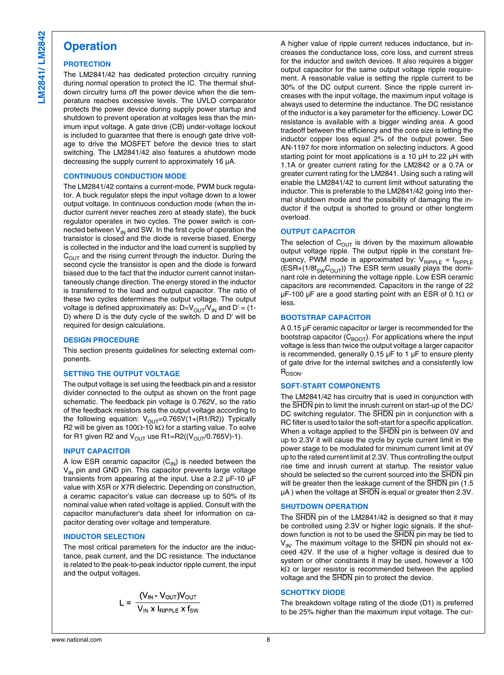### **Operation**

#### **PROTECTION**

The LM2841/42 has dedicated protection circuitry running during normal operation to protect the IC. The thermal shutdown circuitry turns off the power device when the die temperature reaches excessive levels. The UVLO comparator protects the power device during supply power startup and shutdown to prevent operation at voltages less than the minimum input voltage. A gate drive (CB) under-voltage lockout is included to guarantee that there is enough gate drive voltage to drive the MOSFET before the device tries to start switching. The LM2841/42 also features a shutdown mode decreasing the supply current to approximately 16 µA.

#### **CONTINUOUS CONDUCTION MODE**

The LM2841/42 contains a current-mode, PWM buck regulator. A buck regulator steps the input voltage down to a lower output voltage. In continuous conduction mode (when the inductor current never reaches zero at steady state), the buck regulator operates in two cycles. The power switch is connected between  $V_{\text{IN}}$  and SW. In the first cycle of operation the transistor is closed and the diode is reverse biased. Energy is collected in the inductor and the load current is supplied by  $C<sub>OUT</sub>$  and the rising current through the inductor. During the second cycle the transistor is open and the diode is forward biased due to the fact that the inductor current cannot instantaneously change direction. The energy stored in the inductor is transferred to the load and output capacitor. The ratio of these two cycles determines the output voltage. The output voltage is defined approximately as:  $D=V_{OUT}/V_{IN}$  and  $D' = (1-$ D) where D is the duty cycle of the switch. D and D' will be required for design calculations.

#### **DESIGN PROCEDURE**

This section presents guidelines for selecting external components.

#### **SETTING THE OUTPUT VOLTAGE**

The output voltage is set using the feedback pin and a resistor divider connected to the output as shown on the front page schematic. The feedback pin voltage is 0.762V, so the ratio of the feedback resistors sets the output voltage according to the following equation:  $V_{\text{OUT}}=0.765V(1+(R1/R2))$  Typically R2 will be given as 100Ω-10 kΩ for a starting value. To solve for R1 given R2 and  $V_{\text{OUT}}$  use R1=R2(( $V_{\text{OUT}}$ /0.765V)-1).

#### **INPUT CAPACITOR**

A low ESR ceramic capacitor  $(C_{\text{IN}})$  is needed between the  $V_{IN}$  pin and GND pin. This capacitor prevents large voltage transients from appearing at the input. Use a 2.2 µF-10 µF value with X5R or X7R dielectric. Depending on construction, a ceramic capacitor's value can decrease up to 50% of its nominal value when rated voltage is applied. Consult with the capacitor manufacturer's data sheet for information on capacitor derating over voltage and temperature.

#### **INDUCTOR SELECTION**

The most critical parameters for the inductor are the inductance, peak current, and the DC resistance. The inductance is related to the peak-to-peak inductor ripple current, the input and the output voltages.

$$
L = \frac{(V_{IN} - V_{OUT})V_{OUT}}{V_{IN} \times I_{RIPPLE} \times f_{SW}}
$$

A higher value of ripple current reduces inductance, but increases the conductance loss, core loss, and current stress for the inductor and switch devices. It also requires a bigger output capacitor for the same output voltage ripple requirement. A reasonable value is setting the ripple current to be 30% of the DC output current. Since the ripple current increases with the input voltage, the maximum input voltage is always used to determine the inductance. The DC resistance of the inductor is a key parameter for the efficiency. Lower DC resistance is available with a bigger winding area. A good tradeoff between the efficiency and the core size is letting the inductor copper loss equal 2% of the output power. See AN-1197 for more information on selecting inductors. A good starting point for most applications is a 10  $\mu$ H to 22  $\mu$ H with 1.1A or greater current rating for the LM2842 or a 0.7A or greater current rating for the LM2841. Using such a rating will enable the LM2841/42 to current limit without saturating the inductor. This is preferable to the LM2841/42 going into thermal shutdown mode and the possibility of damaging the inductor if the output is shorted to ground or other longterm overload.

#### **OUTPUT CAPACITOR**

The selection of  $C_{\text{OUT}}$  is driven by the maximum allowable output voltage ripple. The output ripple in the constant frequency, PWM mode is approximated by:  $V_{\text{RIPPLE}} = I_{\text{RIPPLE}}$  $(ESR+(1/8f_{SW}C<sub>OUT</sub>))$  The ESR term usually plays the dominant role in determining the voltage ripple. Low ESR ceramic capacitors are recommended. Capacitors in the range of 22 µF-100 µF are a good starting point with an ESR of 0.1Ω or less.

#### **BOOTSTRAP CAPACITOR**

A 0.15 µF ceramic capacitor or larger is recommended for the bootstrap capacitor  $(C_{\text{BOOT}})$ . For applications where the input voltage is less than twice the output voltage a larger capacitor is recommended, generally  $0.15 \mu F$  to 1  $\mu F$  to ensure plenty of gate drive for the internal switches and a consistently low R<sub>DSON</sub>.

#### **SOFT-START COMPONENTS**

The LM2841/42 has circuitry that is used in conjunction with the SHDN pin to limit the inrush current on start-up of the DC/ DC switching regulator. The SHDN pin in conjunction with a RC filter is used to tailor the soft-start for a specific application. When a voltage applied to the SHDN pin is between 0V and up to 2.3V it will cause the cycle by cycle current limit in the power stage to be modulated for minimum current limit at 0V up to the rated current limit at 2.3V. Thus controlling the output rise time and inrush current at startup. The resistor value should be selected so the current sourced into the SHDN pin will be greater then the leakage current of the SHDN pin (1.5) µA ) when the voltage at SHDN is equal or greater then 2.3V.

#### **SHUTDOWN OPERATION**

The SHDN pin of the LM2841/42 is designed so that it may be controlled using 2.3V or higher logic signals. If the shutdown function is not to be used the **SHDN** pin may be tied to  $V_{\text{IN}}$ . The maximum voltage to the  $\overline{\text{SHDN}}$  pin should not exceed 42V. If the use of a higher voltage is desired due to system or other constraints it may be used, however a 100 kΩ or larger resistor is recommended between the applied voltage and the SHDN pin to protect the device.

#### **SCHOTTKY DIODE**

The breakdown voltage rating of the diode (D1) is preferred to be 25% higher than the maximum input voltage. The cur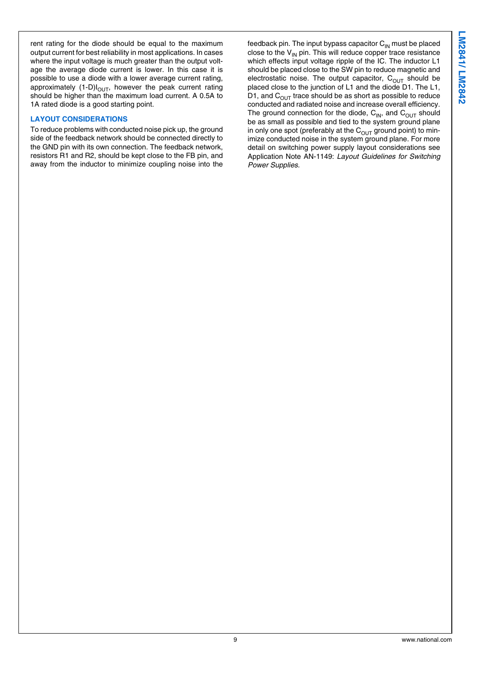rent rating for the diode should be equal to the maximum output current for best reliability in most applications. In cases where the input voltage is much greater than the output voltage the average diode current is lower. In this case it is possible to use a diode with a lower average current rating, approximately  $(1-D)I<sub>OUT</sub>$ , however the peak current rating should be higher than the maximum load current. A 0.5A to 1A rated diode is a good starting point.

#### **LAYOUT CONSIDERATIONS**

To reduce problems with conducted noise pick up, the ground side of the feedback network should be connected directly to the GND pin with its own connection. The feedback network, resistors R1 and R2, should be kept close to the FB pin, and away from the inductor to minimize coupling noise into the

feedback pin. The input bypass capacitor  $C_{\text{IN}}$  must be placed close to the  $V_{\text{IN}}$  pin. This will reduce copper trace resistance which effects input voltage ripple of the IC. The inductor L1 should be placed close to the SW pin to reduce magnetic and electrostatic noise. The output capacitor,  $C_{OUT}$  should be placed close to the junction of L1 and the diode D1. The L1, D1, and  $C<sub>OUT</sub>$  trace should be as short as possible to reduce conducted and radiated noise and increase overall efficiency. The ground connection for the diode,  $C_{IN}$ , and  $C_{OUT}$  should be as small as possible and tied to the system ground plane in only one spot (preferably at the  $C_{OUT}$  ground point) to minimize conducted noise in the system ground plane. For more detail on switching power supply layout considerations see Application Note AN-1149: *Layout Guidelines for Switching Power Supplies.*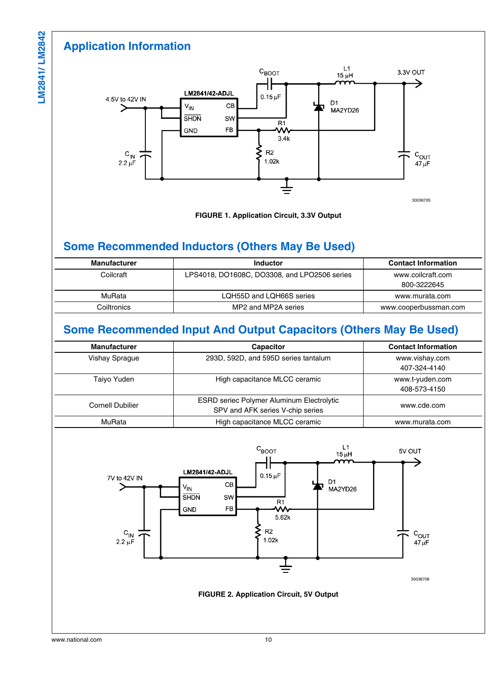## **Application Information**



**FIGURE 1. Application Circuit, 3.3V Output**

### **Some Recommended Inductors (Others May Be Used)**

| <b>Manufacturer</b> | Inductor                                     | <b>Contact Information</b>       |
|---------------------|----------------------------------------------|----------------------------------|
| Coilcraft           | LPS4018, DO1608C, DO3308, and LPO2506 series | www.coilcraft.com<br>800-3222645 |
| MuRata              | LQH55D and LQH66S series                     | www.murata.com                   |
| Coiltronics         | MP2 and MP2A series                          | www.cooperbussman.com            |

### **Some Recommended Input And Output Capacitors (Others May Be Used)**

| <b>Manufacturer</b>   | <b>Capacitor</b>                                 | <b>Contact Information</b> |
|-----------------------|--------------------------------------------------|----------------------------|
| <b>Vishay Sprague</b> | 293D, 592D, and 595D series tantalum             | www.vishay.com             |
|                       |                                                  | 407-324-4140               |
| Taivo Yuden           | High capacitance MLCC ceramic                    | www.t-yuden.com            |
|                       |                                                  | 408-573-4150               |
| Cornell Dubilier      | <b>ESRD seriec Polymer Aluminum Electrolytic</b> | www.cde.com                |
|                       | SPV and AFK series V-chip series                 |                            |
| MuRata                | High capacitance MLCC ceramic                    | www.murata.com             |

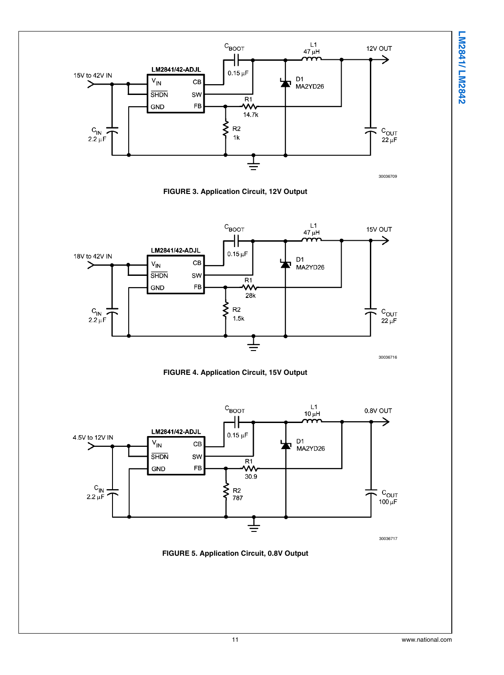

**FIGURE 3. Application Circuit, 12V Output**







30036717

**FIGURE 5. Application Circuit, 0.8V Output**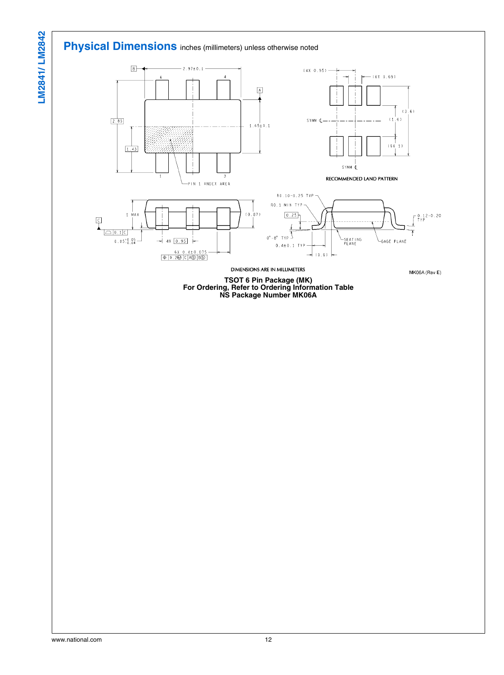## **Physical Dimensions** inches (millimeters) unless otherwise noted



**TSOT 6 Pin Package (MK) For Ordering, Refer to Ordering Information Table NS Package Number MK06A**

LM2841/LM2842 **LM2841/ LM2842**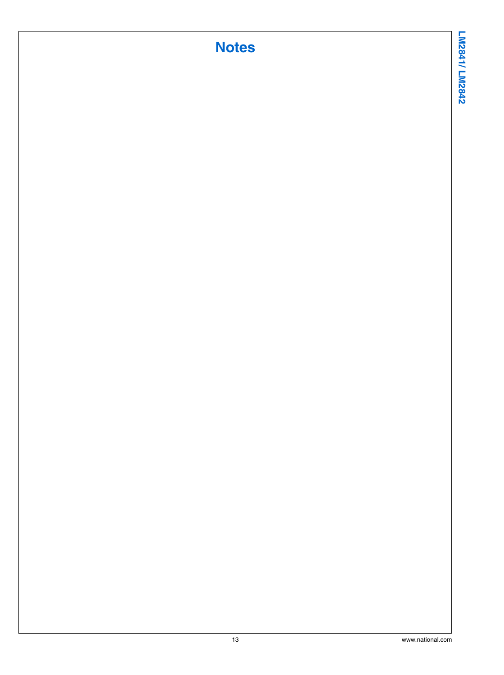# **Notes**